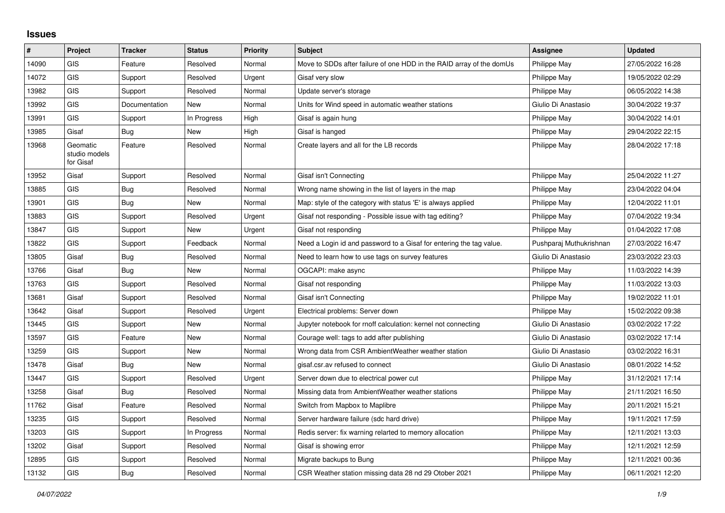## **Issues**

| $\#$  | Project                                | <b>Tracker</b> | <b>Status</b> | Priority | <b>Subject</b>                                                       | Assignee                | <b>Updated</b>   |
|-------|----------------------------------------|----------------|---------------|----------|----------------------------------------------------------------------|-------------------------|------------------|
| 14090 | GIS                                    | Feature        | Resolved      | Normal   | Move to SDDs after failure of one HDD in the RAID array of the domUs | Philippe May            | 27/05/2022 16:28 |
| 14072 | GIS                                    | Support        | Resolved      | Urgent   | Gisaf very slow                                                      | Philippe May            | 19/05/2022 02:29 |
| 13982 | <b>GIS</b>                             | Support        | Resolved      | Normal   | Update server's storage                                              | Philippe May            | 06/05/2022 14:38 |
| 13992 | <b>GIS</b>                             | Documentation  | <b>New</b>    | Normal   | Units for Wind speed in automatic weather stations                   | Giulio Di Anastasio     | 30/04/2022 19:37 |
| 13991 | <b>GIS</b>                             | Support        | In Progress   | High     | Gisaf is again hung                                                  | Philippe May            | 30/04/2022 14:01 |
| 13985 | Gisaf                                  | Bug            | New           | High     | Gisaf is hanged                                                      | Philippe May            | 29/04/2022 22:15 |
| 13968 | Geomatic<br>studio models<br>for Gisaf | Feature        | Resolved      | Normal   | Create layers and all for the LB records                             | Philippe May            | 28/04/2022 17:18 |
| 13952 | Gisaf                                  | Support        | Resolved      | Normal   | Gisaf isn't Connecting                                               | <b>Philippe May</b>     | 25/04/2022 11:27 |
| 13885 | <b>GIS</b>                             | Bug            | Resolved      | Normal   | Wrong name showing in the list of layers in the map                  | Philippe May            | 23/04/2022 04:04 |
| 13901 | <b>GIS</b>                             | Bug            | New           | Normal   | Map: style of the category with status 'E' is always applied         | Philippe May            | 12/04/2022 11:01 |
| 13883 | <b>GIS</b>                             | Support        | Resolved      | Urgent   | Gisaf not responding - Possible issue with tag editing?              | Philippe May            | 07/04/2022 19:34 |
| 13847 | GIS                                    | Support        | New           | Urgent   | Gisaf not responding                                                 | Philippe May            | 01/04/2022 17:08 |
| 13822 | <b>GIS</b>                             | Support        | Feedback      | Normal   | Need a Login id and password to a Gisaf for entering the tag value.  | Pushparaj Muthukrishnan | 27/03/2022 16:47 |
| 13805 | Gisaf                                  | <b>Bug</b>     | Resolved      | Normal   | Need to learn how to use tags on survey features                     | Giulio Di Anastasio     | 23/03/2022 23:03 |
| 13766 | Gisaf                                  | Bug            | New           | Normal   | OGCAPI: make async                                                   | Philippe May            | 11/03/2022 14:39 |
| 13763 | GIS                                    | Support        | Resolved      | Normal   | Gisaf not responding                                                 | <b>Philippe May</b>     | 11/03/2022 13:03 |
| 13681 | Gisaf                                  | Support        | Resolved      | Normal   | Gisaf isn't Connecting                                               | Philippe May            | 19/02/2022 11:01 |
| 13642 | Gisaf                                  | Support        | Resolved      | Urgent   | Electrical problems: Server down                                     | Philippe May            | 15/02/2022 09:38 |
| 13445 | <b>GIS</b>                             | Support        | New           | Normal   | Jupyter notebook for rnoff calculation: kernel not connecting        | Giulio Di Anastasio     | 03/02/2022 17:22 |
| 13597 | <b>GIS</b>                             | Feature        | New           | Normal   | Courage well: tags to add after publishing                           | Giulio Di Anastasio     | 03/02/2022 17:14 |
| 13259 | <b>GIS</b>                             | Support        | <b>New</b>    | Normal   | Wrong data from CSR AmbientWeather weather station                   | Giulio Di Anastasio     | 03/02/2022 16:31 |
| 13478 | Gisaf                                  | Bug            | New           | Normal   | gisaf.csr.av refused to connect                                      | Giulio Di Anastasio     | 08/01/2022 14:52 |
| 13447 | <b>GIS</b>                             | Support        | Resolved      | Urgent   | Server down due to electrical power cut                              | Philippe May            | 31/12/2021 17:14 |
| 13258 | Gisaf                                  | <b>Bug</b>     | Resolved      | Normal   | Missing data from AmbientWeather weather stations                    | Philippe May            | 21/11/2021 16:50 |
| 11762 | Gisaf                                  | Feature        | Resolved      | Normal   | Switch from Mapbox to Maplibre                                       | Philippe May            | 20/11/2021 15:21 |
| 13235 | <b>GIS</b>                             | Support        | Resolved      | Normal   | Server hardware failure (sdc hard drive)                             | <b>Philippe May</b>     | 19/11/2021 17:59 |
| 13203 | GIS                                    | Support        | In Progress   | Normal   | Redis server: fix warning relarted to memory allocation              | Philippe May            | 12/11/2021 13:03 |
| 13202 | Gisaf                                  | Support        | Resolved      | Normal   | Gisaf is showing error                                               | Philippe May            | 12/11/2021 12:59 |
| 12895 | GIS                                    | Support        | Resolved      | Normal   | Migrate backups to Bung                                              | Philippe May            | 12/11/2021 00:36 |
| 13132 | GIS                                    | Bug            | Resolved      | Normal   | CSR Weather station missing data 28 nd 29 Otober 2021                | Philippe May            | 06/11/2021 12:20 |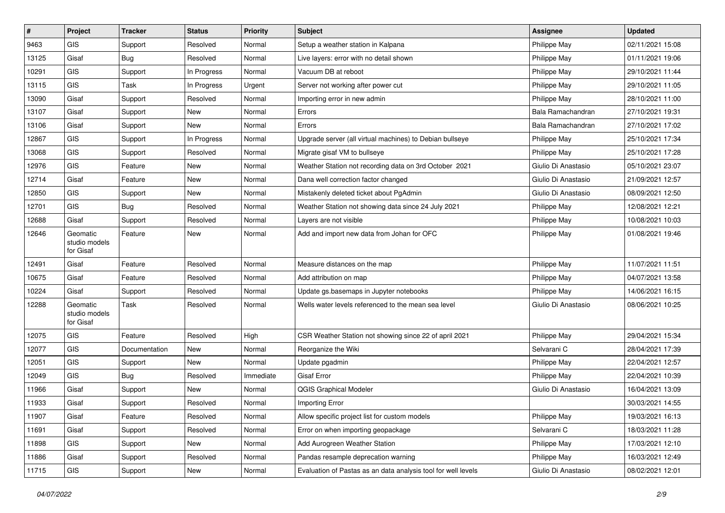| #     | Project                                | <b>Tracker</b> | <b>Status</b> | <b>Priority</b> | Subject                                                       | <b>Assignee</b>     | <b>Updated</b>   |
|-------|----------------------------------------|----------------|---------------|-----------------|---------------------------------------------------------------|---------------------|------------------|
| 9463  | GIS                                    | Support        | Resolved      | Normal          | Setup a weather station in Kalpana                            | Philippe May        | 02/11/2021 15:08 |
| 13125 | Gisaf                                  | Bug            | Resolved      | Normal          | Live layers: error with no detail shown                       | Philippe May        | 01/11/2021 19:06 |
| 10291 | <b>GIS</b>                             | Support        | In Progress   | Normal          | Vacuum DB at reboot                                           | Philippe May        | 29/10/2021 11:44 |
| 13115 | GIS                                    | Task           | In Progress   | Urgent          | Server not working after power cut                            | Philippe May        | 29/10/2021 11:05 |
| 13090 | Gisaf                                  | Support        | Resolved      | Normal          | Importing error in new admin                                  | Philippe May        | 28/10/2021 11:00 |
| 13107 | Gisaf                                  | Support        | New           | Normal          | Errors                                                        | Bala Ramachandran   | 27/10/2021 19:31 |
| 13106 | Gisaf                                  | Support        | New           | Normal          | Errors                                                        | Bala Ramachandran   | 27/10/2021 17:02 |
| 12867 | GIS                                    | Support        | In Progress   | Normal          | Upgrade server (all virtual machines) to Debian bullseye      | Philippe May        | 25/10/2021 17:34 |
| 13068 | GIS                                    | Support        | Resolved      | Normal          | Migrate gisaf VM to bullseye                                  | Philippe May        | 25/10/2021 17:28 |
| 12976 | <b>GIS</b>                             | Feature        | New           | Normal          | Weather Station not recording data on 3rd October 2021        | Giulio Di Anastasio | 05/10/2021 23:07 |
| 12714 | Gisaf                                  | Feature        | New           | Normal          | Dana well correction factor changed                           | Giulio Di Anastasio | 21/09/2021 12:57 |
| 12850 | GIS                                    | Support        | New           | Normal          | Mistakenly deleted ticket about PgAdmin                       | Giulio Di Anastasio | 08/09/2021 12:50 |
| 12701 | GIS                                    | Bug            | Resolved      | Normal          | Weather Station not showing data since 24 July 2021           | Philippe May        | 12/08/2021 12:21 |
| 12688 | Gisaf                                  | Support        | Resolved      | Normal          | Layers are not visible                                        | Philippe May        | 10/08/2021 10:03 |
| 12646 | Geomatic<br>studio models<br>for Gisaf | Feature        | New           | Normal          | Add and import new data from Johan for OFC                    | Philippe May        | 01/08/2021 19:46 |
| 12491 | Gisaf                                  | Feature        | Resolved      | Normal          | Measure distances on the map                                  | Philippe May        | 11/07/2021 11:51 |
| 10675 | Gisaf                                  | Feature        | Resolved      | Normal          | Add attribution on map                                        | Philippe May        | 04/07/2021 13:58 |
| 10224 | Gisaf                                  | Support        | Resolved      | Normal          | Update gs.basemaps in Jupyter notebooks                       | Philippe May        | 14/06/2021 16:15 |
| 12288 | Geomatic<br>studio models<br>for Gisaf | Task           | Resolved      | Normal          | Wells water levels referenced to the mean sea level           | Giulio Di Anastasio | 08/06/2021 10:25 |
| 12075 | GIS                                    | Feature        | Resolved      | High            | CSR Weather Station not showing since 22 of april 2021        | Philippe May        | 29/04/2021 15:34 |
| 12077 | GIS                                    | Documentation  | New           | Normal          | Reorganize the Wiki                                           | Selvarani C         | 28/04/2021 17:39 |
| 12051 | GIS                                    | Support        | New           | Normal          | Update pgadmin                                                | Philippe May        | 22/04/2021 12:57 |
| 12049 | <b>GIS</b>                             | <b>Bug</b>     | Resolved      | Immediate       | <b>Gisaf Error</b>                                            | Philippe May        | 22/04/2021 10:39 |
| 11966 | Gisaf                                  | Support        | New           | Normal          | QGIS Graphical Modeler                                        | Giulio Di Anastasio | 16/04/2021 13:09 |
| 11933 | Gisaf                                  | Support        | Resolved      | Normal          | Importing Error                                               |                     | 30/03/2021 14:55 |
| 11907 | Gisaf                                  | Feature        | Resolved      | Normal          | Allow specific project list for custom models                 | Philippe May        | 19/03/2021 16:13 |
| 11691 | Gisaf                                  | Support        | Resolved      | Normal          | Error on when importing geopackage                            | Selvarani C         | 18/03/2021 11:28 |
| 11898 | GIS                                    | Support        | New           | Normal          | Add Aurogreen Weather Station                                 | Philippe May        | 17/03/2021 12:10 |
| 11886 | Gisaf                                  | Support        | Resolved      | Normal          | Pandas resample deprecation warning                           | Philippe May        | 16/03/2021 12:49 |
| 11715 | GIS                                    | Support        | New           | Normal          | Evaluation of Pastas as an data analysis tool for well levels | Giulio Di Anastasio | 08/02/2021 12:01 |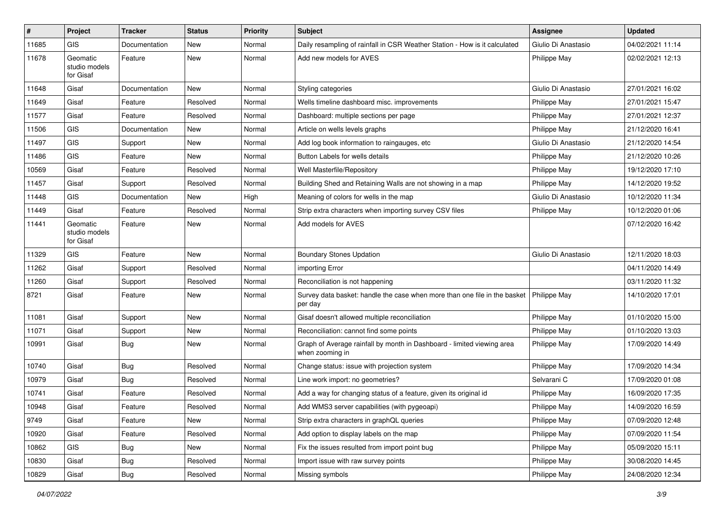| #     | Project                                | <b>Tracker</b> | <b>Status</b> | <b>Priority</b> | <b>Subject</b>                                                                            | <b>Assignee</b>     | <b>Updated</b>   |
|-------|----------------------------------------|----------------|---------------|-----------------|-------------------------------------------------------------------------------------------|---------------------|------------------|
| 11685 | <b>GIS</b>                             | Documentation  | <b>New</b>    | Normal          | Daily resampling of rainfall in CSR Weather Station - How is it calculated                | Giulio Di Anastasio | 04/02/2021 11:14 |
| 11678 | Geomatic<br>studio models<br>for Gisaf | Feature        | <b>New</b>    | Normal          | Add new models for AVES                                                                   | Philippe May        | 02/02/2021 12:13 |
| 11648 | Gisaf                                  | Documentation  | <b>New</b>    | Normal          | Styling categories                                                                        | Giulio Di Anastasio | 27/01/2021 16:02 |
| 11649 | Gisaf                                  | Feature        | Resolved      | Normal          | Wells timeline dashboard misc. improvements                                               | <b>Philippe May</b> | 27/01/2021 15:47 |
| 11577 | Gisaf                                  | Feature        | Resolved      | Normal          | Dashboard: multiple sections per page                                                     | Philippe May        | 27/01/2021 12:37 |
| 11506 | <b>GIS</b>                             | Documentation  | New           | Normal          | Article on wells levels graphs                                                            | Philippe May        | 21/12/2020 16:41 |
| 11497 | <b>GIS</b>                             | Support        | New           | Normal          | Add log book information to raingauges, etc                                               | Giulio Di Anastasio | 21/12/2020 14:54 |
| 11486 | <b>GIS</b>                             | Feature        | New           | Normal          | Button Labels for wells details                                                           | Philippe May        | 21/12/2020 10:26 |
| 10569 | Gisaf                                  | Feature        | Resolved      | Normal          | Well Masterfile/Repository                                                                | Philippe May        | 19/12/2020 17:10 |
| 11457 | Gisaf                                  | Support        | Resolved      | Normal          | Building Shed and Retaining Walls are not showing in a map                                | Philippe May        | 14/12/2020 19:52 |
| 11448 | <b>GIS</b>                             | Documentation  | New           | High            | Meaning of colors for wells in the map                                                    | Giulio Di Anastasio | 10/12/2020 11:34 |
| 11449 | Gisaf                                  | Feature        | Resolved      | Normal          | Strip extra characters when importing survey CSV files                                    | Philippe May        | 10/12/2020 01:06 |
| 11441 | Geomatic<br>studio models<br>for Gisaf | Feature        | New           | Normal          | Add models for AVES                                                                       |                     | 07/12/2020 16:42 |
| 11329 | <b>GIS</b>                             | Feature        | <b>New</b>    | Normal          | <b>Boundary Stones Updation</b>                                                           | Giulio Di Anastasio | 12/11/2020 18:03 |
| 11262 | Gisaf                                  | Support        | Resolved      | Normal          | importing Error                                                                           |                     | 04/11/2020 14:49 |
| 11260 | Gisaf                                  | Support        | Resolved      | Normal          | Reconciliation is not happening                                                           |                     | 03/11/2020 11:32 |
| 8721  | Gisaf                                  | Feature        | New           | Normal          | Survey data basket: handle the case when more than one file in the basket<br>per day      | Philippe May        | 14/10/2020 17:01 |
| 11081 | Gisaf                                  | Support        | <b>New</b>    | Normal          | Gisaf doesn't allowed multiple reconciliation                                             | Philippe May        | 01/10/2020 15:00 |
| 11071 | Gisaf                                  | Support        | New           | Normal          | Reconciliation: cannot find some points                                                   | Philippe May        | 01/10/2020 13:03 |
| 10991 | Gisaf                                  | <b>Bug</b>     | New           | Normal          | Graph of Average rainfall by month in Dashboard - limited viewing area<br>when zooming in | <b>Philippe May</b> | 17/09/2020 14:49 |
| 10740 | Gisaf                                  | Bug            | Resolved      | Normal          | Change status: issue with projection system                                               | Philippe May        | 17/09/2020 14:34 |
| 10979 | Gisaf                                  | <b>Bug</b>     | Resolved      | Normal          | Line work import: no geometries?                                                          | Selvarani C         | 17/09/2020 01:08 |
| 10741 | Gisaf                                  | Feature        | Resolved      | Normal          | Add a way for changing status of a feature, given its original id                         | Philippe May        | 16/09/2020 17:35 |
| 10948 | Gisaf                                  | Feature        | Resolved      | Normal          | Add WMS3 server capabilities (with pygeoapi)                                              | Philippe May        | 14/09/2020 16:59 |
| 9749  | Gisaf                                  | Feature        | New           | Normal          | Strip extra characters in graphQL queries                                                 | Philippe May        | 07/09/2020 12:48 |
| 10920 | Gisaf                                  | Feature        | Resolved      | Normal          | Add option to display labels on the map                                                   | Philippe May        | 07/09/2020 11:54 |
| 10862 | GIS                                    | <b>Bug</b>     | New           | Normal          | Fix the issues resulted from import point bug                                             | Philippe May        | 05/09/2020 15:11 |
| 10830 | Gisaf                                  | <b>Bug</b>     | Resolved      | Normal          | Import issue with raw survey points                                                       | Philippe May        | 30/08/2020 14:45 |
| 10829 | Gisaf                                  | Bug            | Resolved      | Normal          | Missing symbols                                                                           | Philippe May        | 24/08/2020 12:34 |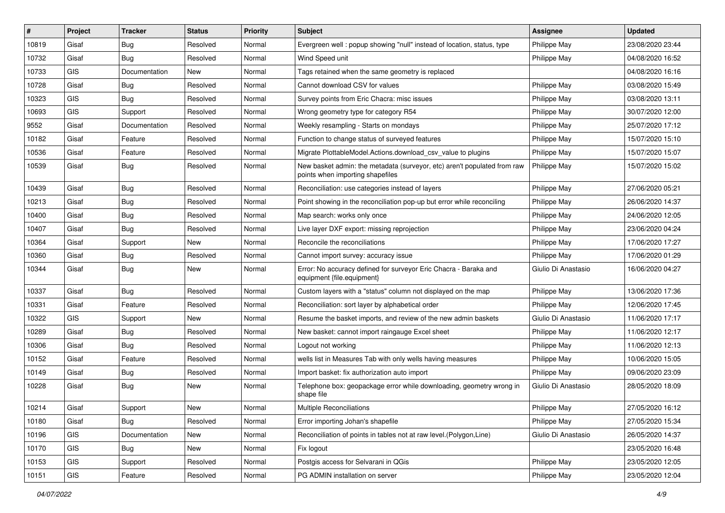| #     | Project    | <b>Tracker</b> | <b>Status</b> | <b>Priority</b> | Subject                                                                                                      | <b>Assignee</b>     | <b>Updated</b>   |
|-------|------------|----------------|---------------|-----------------|--------------------------------------------------------------------------------------------------------------|---------------------|------------------|
| 10819 | Gisaf      | Bug            | Resolved      | Normal          | Evergreen well: popup showing "null" instead of location, status, type                                       | Philippe May        | 23/08/2020 23:44 |
| 10732 | Gisaf      | Bug            | Resolved      | Normal          | Wind Speed unit                                                                                              | Philippe May        | 04/08/2020 16:52 |
| 10733 | <b>GIS</b> | Documentation  | New           | Normal          | Tags retained when the same geometry is replaced                                                             |                     | 04/08/2020 16:16 |
| 10728 | Gisaf      | <b>Bug</b>     | Resolved      | Normal          | Cannot download CSV for values                                                                               | Philippe May        | 03/08/2020 15:49 |
| 10323 | GIS        | Bug            | Resolved      | Normal          | Survey points from Eric Chacra: misc issues                                                                  | Philippe May        | 03/08/2020 13:11 |
| 10693 | <b>GIS</b> | Support        | Resolved      | Normal          | Wrong geometry type for category R54                                                                         | Philippe May        | 30/07/2020 12:00 |
| 9552  | Gisaf      | Documentation  | Resolved      | Normal          | Weekly resampling - Starts on mondays                                                                        | Philippe May        | 25/07/2020 17:12 |
| 10182 | Gisaf      | Feature        | Resolved      | Normal          | Function to change status of surveyed features                                                               | Philippe May        | 15/07/2020 15:10 |
| 10536 | Gisaf      | Feature        | Resolved      | Normal          | Migrate PlottableModel.Actions.download csv value to plugins                                                 | Philippe May        | 15/07/2020 15:07 |
| 10539 | Gisaf      | Bug            | Resolved      | Normal          | New basket admin: the metadata (surveyor, etc) aren't populated from raw<br>points when importing shapefiles | Philippe May        | 15/07/2020 15:02 |
| 10439 | Gisaf      | <b>Bug</b>     | Resolved      | Normal          | Reconciliation: use categories instead of layers                                                             | Philippe May        | 27/06/2020 05:21 |
| 10213 | Gisaf      | <b>Bug</b>     | Resolved      | Normal          | Point showing in the reconciliation pop-up but error while reconciling                                       | Philippe May        | 26/06/2020 14:37 |
| 10400 | Gisaf      | <b>Bug</b>     | Resolved      | Normal          | Map search: works only once                                                                                  | Philippe May        | 24/06/2020 12:05 |
| 10407 | Gisaf      | Bug            | Resolved      | Normal          | Live layer DXF export: missing reprojection                                                                  | Philippe May        | 23/06/2020 04:24 |
| 10364 | Gisaf      | Support        | New           | Normal          | Reconcile the reconciliations                                                                                | Philippe May        | 17/06/2020 17:27 |
| 10360 | Gisaf      | <b>Bug</b>     | Resolved      | Normal          | Cannot import survey: accuracy issue                                                                         | Philippe May        | 17/06/2020 01:29 |
| 10344 | Gisaf      | Bug            | New           | Normal          | Error: No accuracy defined for surveyor Eric Chacra - Baraka and<br>equipment {file.equipment}               | Giulio Di Anastasio | 16/06/2020 04:27 |
| 10337 | Gisaf      | <b>Bug</b>     | Resolved      | Normal          | Custom layers with a "status" column not displayed on the map                                                | Philippe May        | 13/06/2020 17:36 |
| 10331 | Gisaf      | Feature        | Resolved      | Normal          | Reconciliation: sort layer by alphabetical order                                                             | Philippe May        | 12/06/2020 17:45 |
| 10322 | <b>GIS</b> | Support        | New           | Normal          | Resume the basket imports, and review of the new admin baskets                                               | Giulio Di Anastasio | 11/06/2020 17:17 |
| 10289 | Gisaf      | <b>Bug</b>     | Resolved      | Normal          | New basket: cannot import raingauge Excel sheet                                                              | Philippe May        | 11/06/2020 12:17 |
| 10306 | Gisaf      | <b>Bug</b>     | Resolved      | Normal          | Logout not working                                                                                           | Philippe May        | 11/06/2020 12:13 |
| 10152 | Gisaf      | Feature        | Resolved      | Normal          | wells list in Measures Tab with only wells having measures                                                   | Philippe May        | 10/06/2020 15:05 |
| 10149 | Gisaf      | Bug            | Resolved      | Normal          | Import basket: fix authorization auto import                                                                 | Philippe May        | 09/06/2020 23:09 |
| 10228 | Gisaf      | Bug            | New           | Normal          | Telephone box: geopackage error while downloading, geometry wrong in<br>shape file                           | Giulio Di Anastasio | 28/05/2020 18:09 |
| 10214 | Gisaf      | Support        | New           | Normal          | Multiple Reconciliations                                                                                     | Philippe May        | 27/05/2020 16:12 |
| 10180 | Gisaf      | Bug            | Resolved      | Normal          | Error importing Johan's shapefile                                                                            | Philippe May        | 27/05/2020 15:34 |
| 10196 | GIS        | Documentation  | New           | Normal          | Reconciliation of points in tables not at raw level. (Polygon, Line)                                         | Giulio Di Anastasio | 26/05/2020 14:37 |
| 10170 | <b>GIS</b> | Bug            | New           | Normal          | Fix logout                                                                                                   |                     | 23/05/2020 16:48 |
| 10153 | GIS        | Support        | Resolved      | Normal          | Postgis access for Selvarani in QGis                                                                         | Philippe May        | 23/05/2020 12:05 |
| 10151 | GIS        | Feature        | Resolved      | Normal          | PG ADMIN installation on server                                                                              | Philippe May        | 23/05/2020 12:04 |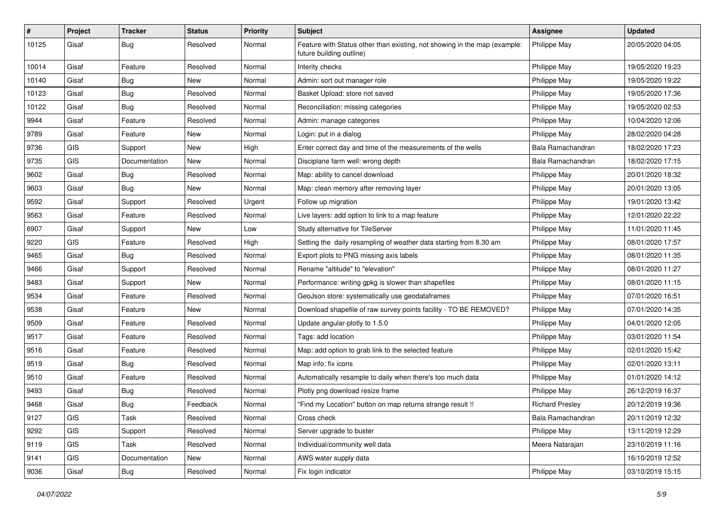| #     | Project    | <b>Tracker</b> | <b>Status</b> | <b>Priority</b> | Subject                                                                                               | Assignee               | <b>Updated</b>   |
|-------|------------|----------------|---------------|-----------------|-------------------------------------------------------------------------------------------------------|------------------------|------------------|
| 10125 | Gisaf      | <b>Bug</b>     | Resolved      | Normal          | Feature with Status other than existing, not showing in the map (example:<br>future building outline) | <b>Philippe May</b>    | 20/05/2020 04:05 |
| 10014 | Gisaf      | Feature        | Resolved      | Normal          | Interity checks                                                                                       | Philippe May           | 19/05/2020 19:23 |
| 10140 | Gisaf      | Bug            | New           | Normal          | Admin: sort out manager role                                                                          | Philippe May           | 19/05/2020 19:22 |
| 10123 | Gisaf      | Bug            | Resolved      | Normal          | Basket Upload: store not saved                                                                        | Philippe May           | 19/05/2020 17:36 |
| 10122 | Gisaf      | <b>Bug</b>     | Resolved      | Normal          | Reconciliation: missing categories                                                                    | Philippe May           | 19/05/2020 02:53 |
| 9944  | Gisaf      | Feature        | Resolved      | Normal          | Admin: manage categories                                                                              | Philippe May           | 10/04/2020 12:06 |
| 9789  | Gisaf      | Feature        | New           | Normal          | Login: put in a dialog                                                                                | Philippe May           | 28/02/2020 04:28 |
| 9736  | <b>GIS</b> | Support        | New           | High            | Enter correct day and time of the measurements of the wells                                           | Bala Ramachandran      | 18/02/2020 17:23 |
| 9735  | <b>GIS</b> | Documentation  | New           | Normal          | Disciplane farm well: wrong depth                                                                     | Bala Ramachandran      | 18/02/2020 17:15 |
| 9602  | Gisaf      | <b>Bug</b>     | Resolved      | Normal          | Map: ability to cancel download                                                                       | Philippe May           | 20/01/2020 18:32 |
| 9603  | Gisaf      | Bug            | New           | Normal          | Map: clean memory after removing layer                                                                | Philippe May           | 20/01/2020 13:05 |
| 9592  | Gisaf      | Support        | Resolved      | Urgent          | Follow up migration                                                                                   | Philippe May           | 19/01/2020 13:42 |
| 9563  | Gisaf      | Feature        | Resolved      | Normal          | Live layers: add option to link to a map feature                                                      | Philippe May           | 12/01/2020 22:22 |
| 6907  | Gisaf      | Support        | New           | Low             | Study alternative for TileServer                                                                      | Philippe May           | 11/01/2020 11:45 |
| 9220  | <b>GIS</b> | Feature        | Resolved      | High            | Setting the daily resampling of weather data starting from 8.30 am                                    | Philippe May           | 08/01/2020 17:57 |
| 9465  | Gisaf      | <b>Bug</b>     | Resolved      | Normal          | Export plots to PNG missing axis labels                                                               | Philippe May           | 08/01/2020 11:35 |
| 9466  | Gisaf      | Support        | Resolved      | Normal          | Rename "altitude" to "elevation"                                                                      | Philippe May           | 08/01/2020 11:27 |
| 9483  | Gisaf      | Support        | New           | Normal          | Performance: writing gpkg is slower than shapefiles                                                   | Philippe May           | 08/01/2020 11:15 |
| 9534  | Gisaf      | Feature        | Resolved      | Normal          | GeoJson store: systematically use geodataframes                                                       | Philippe May           | 07/01/2020 16:51 |
| 9538  | Gisaf      | Feature        | New           | Normal          | Download shapefile of raw survey points facility - TO BE REMOVED?                                     | Philippe May           | 07/01/2020 14:35 |
| 9509  | Gisaf      | Feature        | Resolved      | Normal          | Update angular-plotly to 1.5.0                                                                        | Philippe May           | 04/01/2020 12:05 |
| 9517  | Gisaf      | Feature        | Resolved      | Normal          | Tags: add location                                                                                    | Philippe May           | 03/01/2020 11:54 |
| 9516  | Gisaf      | Feature        | Resolved      | Normal          | Map: add option to grab link to the selected feature                                                  | Philippe May           | 02/01/2020 15:42 |
| 9519  | Gisaf      | <b>Bug</b>     | Resolved      | Normal          | Map info: fix icons                                                                                   | Philippe May           | 02/01/2020 13:11 |
| 9510  | Gisaf      | Feature        | Resolved      | Normal          | Automatically resample to daily when there's too much data                                            | Philippe May           | 01/01/2020 14:12 |
| 9493  | Gisaf      | <b>Bug</b>     | Resolved      | Normal          | Plotly png download resize frame                                                                      | Philippe May           | 26/12/2019 16:37 |
| 9468  | Gisaf      | Bug            | Feedback      | Normal          | "Find my Location" button on map returns strange result !!                                            | <b>Richard Presley</b> | 20/12/2019 19:36 |
| 9127  | <b>GIS</b> | Task           | Resolved      | Normal          | Cross check                                                                                           | Bala Ramachandran      | 20/11/2019 12:32 |
| 9292  | GIS        | Support        | Resolved      | Normal          | Server upgrade to buster                                                                              | Philippe May           | 13/11/2019 12:29 |
| 9119  | <b>GIS</b> | Task           | Resolved      | Normal          | Individual/community well data                                                                        | Meera Natarajan        | 23/10/2019 11:16 |
| 9141  | GIS        | Documentation  | New           | Normal          | AWS water supply data                                                                                 |                        | 16/10/2019 12:52 |
| 9036  | Gisaf      | <b>Bug</b>     | Resolved      | Normal          | Fix login indicator                                                                                   | Philippe May           | 03/10/2019 15:15 |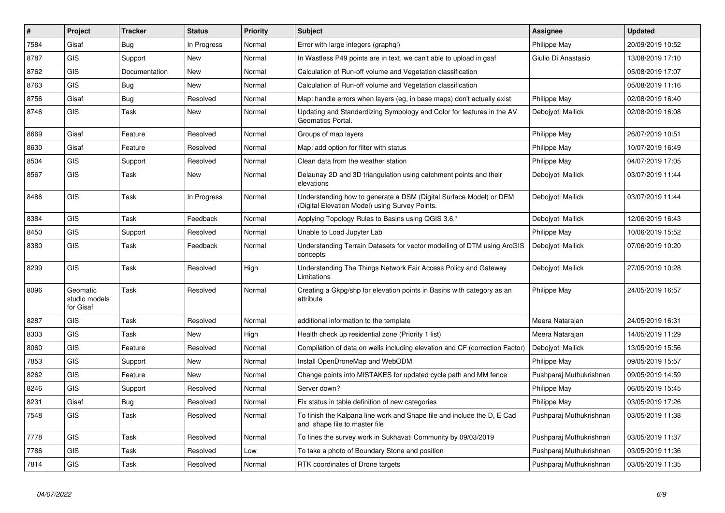| #    | Project                                | <b>Tracker</b> | <b>Status</b> | <b>Priority</b> | <b>Subject</b>                                                                                                       | <b>Assignee</b>         | <b>Updated</b>   |
|------|----------------------------------------|----------------|---------------|-----------------|----------------------------------------------------------------------------------------------------------------------|-------------------------|------------------|
| 7584 | Gisaf                                  | Bug            | In Progress   | Normal          | Error with large integers (graphgl)                                                                                  | Philippe May            | 20/09/2019 10:52 |
| 8787 | <b>GIS</b>                             | Support        | <b>New</b>    | Normal          | In Wastless P49 points are in text, we can't able to upload in gsaf                                                  | Giulio Di Anastasio     | 13/08/2019 17:10 |
| 8762 | <b>GIS</b>                             | Documentation  | <b>New</b>    | Normal          | Calculation of Run-off volume and Vegetation classification                                                          |                         | 05/08/2019 17:07 |
| 8763 | <b>GIS</b>                             | <b>Bug</b>     | <b>New</b>    | Normal          | Calculation of Run-off volume and Vegetation classification                                                          |                         | 05/08/2019 11:16 |
| 8756 | Gisaf                                  | <b>Bug</b>     | Resolved      | Normal          | Map: handle errors when layers (eg, in base maps) don't actually exist                                               | Philippe May            | 02/08/2019 16:40 |
| 8746 | <b>GIS</b>                             | Task           | <b>New</b>    | Normal          | Updating and Standardizing Symbology and Color for features in the AV<br>Geomatics Portal.                           | Debojyoti Mallick       | 02/08/2019 16:08 |
| 8669 | Gisaf                                  | Feature        | Resolved      | Normal          | Groups of map layers                                                                                                 | Philippe May            | 26/07/2019 10:51 |
| 8630 | Gisaf                                  | Feature        | Resolved      | Normal          | Map: add option for filter with status                                                                               | Philippe May            | 10/07/2019 16:49 |
| 8504 | <b>GIS</b>                             | Support        | Resolved      | Normal          | Clean data from the weather station                                                                                  | Philippe May            | 04/07/2019 17:05 |
| 8567 | <b>GIS</b>                             | Task           | New           | Normal          | Delaunay 2D and 3D triangulation using catchment points and their<br>elevations                                      | Debojyoti Mallick       | 03/07/2019 11:44 |
| 8486 | <b>GIS</b>                             | Task           | In Progress   | Normal          | Understanding how to generate a DSM (Digital Surface Model) or DEM<br>(Digital Elevation Model) using Survey Points. | Debojyoti Mallick       | 03/07/2019 11:44 |
| 8384 | <b>GIS</b>                             | Task           | Feedback      | Normal          | Applying Topology Rules to Basins using QGIS 3.6.*                                                                   | Debojyoti Mallick       | 12/06/2019 16:43 |
| 8450 | <b>GIS</b>                             | Support        | Resolved      | Normal          | Unable to Load Jupyter Lab                                                                                           | Philippe May            | 10/06/2019 15:52 |
| 8380 | <b>GIS</b>                             | Task           | Feedback      | Normal          | Understanding Terrain Datasets for vector modelling of DTM using ArcGIS<br>concepts                                  | Debojyoti Mallick       | 07/06/2019 10:20 |
| 8299 | <b>GIS</b>                             | Task           | Resolved      | High            | Understanding The Things Network Fair Access Policy and Gateway<br>Limitations                                       | Debojyoti Mallick       | 27/05/2019 10:28 |
| 8096 | Geomatic<br>studio models<br>for Gisaf | Task           | Resolved      | Normal          | Creating a Gkpg/shp for elevation points in Basins with category as an<br>attribute                                  | Philippe May            | 24/05/2019 16:57 |
| 8287 | <b>GIS</b>                             | Task           | Resolved      | Normal          | additional information to the template                                                                               | Meera Natarajan         | 24/05/2019 16:31 |
| 8303 | <b>GIS</b>                             | Task           | New           | High            | Health check up residential zone (Priority 1 list)                                                                   | Meera Natarajan         | 14/05/2019 11:29 |
| 8060 | <b>GIS</b>                             | Feature        | Resolved      | Normal          | Compilation of data on wells including elevation and CF (correction Factor)                                          | Debojyoti Mallick       | 13/05/2019 15:56 |
| 7853 | <b>GIS</b>                             | Support        | <b>New</b>    | Normal          | Install OpenDroneMap and WebODM                                                                                      | Philippe May            | 09/05/2019 15:57 |
| 8262 | <b>GIS</b>                             | Feature        | <b>New</b>    | Normal          | Change points into MISTAKES for updated cycle path and MM fence                                                      | Pushparaj Muthukrishnan | 09/05/2019 14:59 |
| 8246 | <b>GIS</b>                             | Support        | Resolved      | Normal          | Server down?                                                                                                         | Philippe May            | 06/05/2019 15:45 |
| 8231 | Gisaf                                  | <b>Bug</b>     | Resolved      | Normal          | Fix status in table definition of new categories                                                                     | Philippe May            | 03/05/2019 17:26 |
| 7548 | <b>GIS</b>                             | Task           | Resolved      | Normal          | To finish the Kalpana line work and Shape file and include the D, E Cad<br>and shape file to master file             | Pushparaj Muthukrishnan | 03/05/2019 11:38 |
| 7778 | <b>GIS</b>                             | Task           | Resolved      | Normal          | To fines the survey work in Sukhavati Community by 09/03/2019                                                        | Pushparaj Muthukrishnan | 03/05/2019 11:37 |
| 7786 | <b>GIS</b>                             | Task           | Resolved      | Low             | To take a photo of Boundary Stone and position                                                                       | Pushparaj Muthukrishnan | 03/05/2019 11:36 |
| 7814 | <b>GIS</b>                             | Task           | Resolved      | Normal          | RTK coordinates of Drone targets                                                                                     | Pushparaj Muthukrishnan | 03/05/2019 11:35 |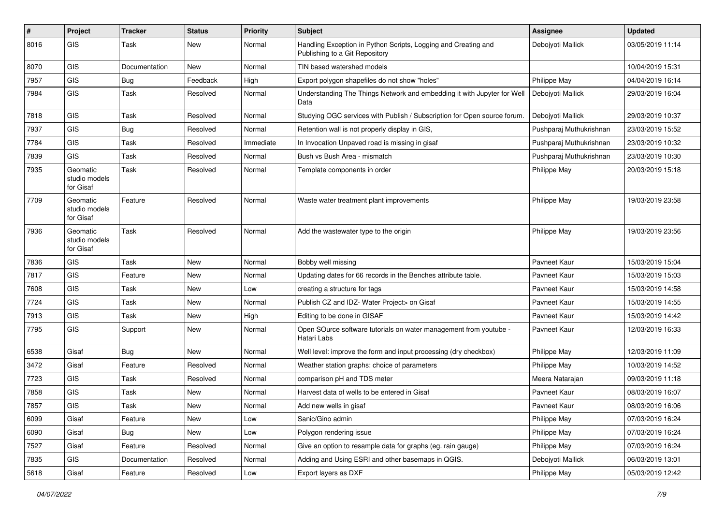| #    | Project                                | <b>Tracker</b> | <b>Status</b> | <b>Priority</b> | Subject                                                                                          | <b>Assignee</b>         | <b>Updated</b>   |
|------|----------------------------------------|----------------|---------------|-----------------|--------------------------------------------------------------------------------------------------|-------------------------|------------------|
| 8016 | GIS                                    | Task           | New           | Normal          | Handling Exception in Python Scripts, Logging and Creating and<br>Publishing to a Git Repository | Debojyoti Mallick       | 03/05/2019 11:14 |
| 8070 | GIS                                    | Documentation  | <b>New</b>    | Normal          | TIN based watershed models                                                                       |                         | 10/04/2019 15:31 |
| 7957 | GIS                                    | <b>Bug</b>     | Feedback      | High            | Export polygon shapefiles do not show "holes"                                                    | Philippe May            | 04/04/2019 16:14 |
| 7984 | GIS                                    | <b>Task</b>    | Resolved      | Normal          | Understanding The Things Network and embedding it with Jupyter for Well<br>Data                  | Debojyoti Mallick       | 29/03/2019 16:04 |
| 7818 | GIS                                    | Task           | Resolved      | Normal          | Studying OGC services with Publish / Subscription for Open source forum.                         | Debojyoti Mallick       | 29/03/2019 10:37 |
| 7937 | GIS                                    | <b>Bug</b>     | Resolved      | Normal          | Retention wall is not properly display in GIS,                                                   | Pushparaj Muthukrishnan | 23/03/2019 15:52 |
| 7784 | GIS                                    | Task           | Resolved      | Immediate       | In Invocation Unpaved road is missing in gisaf                                                   | Pushparaj Muthukrishnan | 23/03/2019 10:32 |
| 7839 | GIS                                    | Task           | Resolved      | Normal          | Bush vs Bush Area - mismatch                                                                     | Pushparaj Muthukrishnan | 23/03/2019 10:30 |
| 7935 | Geomatic<br>studio models<br>for Gisaf | <b>Task</b>    | Resolved      | Normal          | Template components in order                                                                     | Philippe May            | 20/03/2019 15:18 |
| 7709 | Geomatic<br>studio models<br>for Gisaf | Feature        | Resolved      | Normal          | Waste water treatment plant improvements                                                         | Philippe May            | 19/03/2019 23:58 |
| 7936 | Geomatic<br>studio models<br>for Gisaf | <b>Task</b>    | Resolved      | Normal          | Add the wastewater type to the origin                                                            | Philippe May            | 19/03/2019 23:56 |
| 7836 | GIS                                    | <b>Task</b>    | New           | Normal          | Bobby well missing                                                                               | Pavneet Kaur            | 15/03/2019 15:04 |
| 7817 | GIS                                    | Feature        | New           | Normal          | Updating dates for 66 records in the Benches attribute table.                                    | Pavneet Kaur            | 15/03/2019 15:03 |
| 7608 | GIS                                    | Task           | New           | Low             | creating a structure for tags                                                                    | Pavneet Kaur            | 15/03/2019 14:58 |
| 7724 | GIS                                    | Task           | <b>New</b>    | Normal          | Publish CZ and IDZ- Water Project> on Gisaf                                                      | Pavneet Kaur            | 15/03/2019 14:55 |
| 7913 | GIS                                    | <b>Task</b>    | New           | High            | Editing to be done in GISAF                                                                      | Pavneet Kaur            | 15/03/2019 14:42 |
| 7795 | GIS                                    | Support        | New           | Normal          | Open SOurce software tutorials on water management from youtube -<br>Hatari Labs                 | Pavneet Kaur            | 12/03/2019 16:33 |
| 6538 | Gisaf                                  | Bug            | New           | Normal          | Well level: improve the form and input processing (dry checkbox)                                 | Philippe May            | 12/03/2019 11:09 |
| 3472 | Gisaf                                  | Feature        | Resolved      | Normal          | Weather station graphs: choice of parameters                                                     | Philippe May            | 10/03/2019 14:52 |
| 7723 | GIS                                    | <b>Task</b>    | Resolved      | Normal          | comparison pH and TDS meter                                                                      | Meera Natarajan         | 09/03/2019 11:18 |
| 7858 | <b>GIS</b>                             | Task           | New           | Normal          | Harvest data of wells to be entered in Gisaf                                                     | Pavneet Kaur            | 08/03/2019 16:07 |
| 7857 | GIS                                    | Task           | New           | Normal          | Add new wells in gisaf                                                                           | Pavneet Kaur            | 08/03/2019 16:06 |
| 6099 | Gisaf                                  | Feature        | <b>New</b>    | Low             | Sanic/Gino admin                                                                                 | Philippe May            | 07/03/2019 16:24 |
| 6090 | Gisaf                                  | <b>Bug</b>     | New           | Low             | Polygon rendering issue                                                                          | Philippe May            | 07/03/2019 16:24 |
| 7527 | Gisaf                                  | Feature        | Resolved      | Normal          | Give an option to resample data for graphs (eg. rain gauge)                                      | Philippe May            | 07/03/2019 16:24 |
| 7835 | GIS                                    | Documentation  | Resolved      | Normal          | Adding and Using ESRI and other basemaps in QGIS.                                                | Debojyoti Mallick       | 06/03/2019 13:01 |
| 5618 | Gisaf                                  | Feature        | Resolved      | Low             | Export layers as DXF                                                                             | Philippe May            | 05/03/2019 12:42 |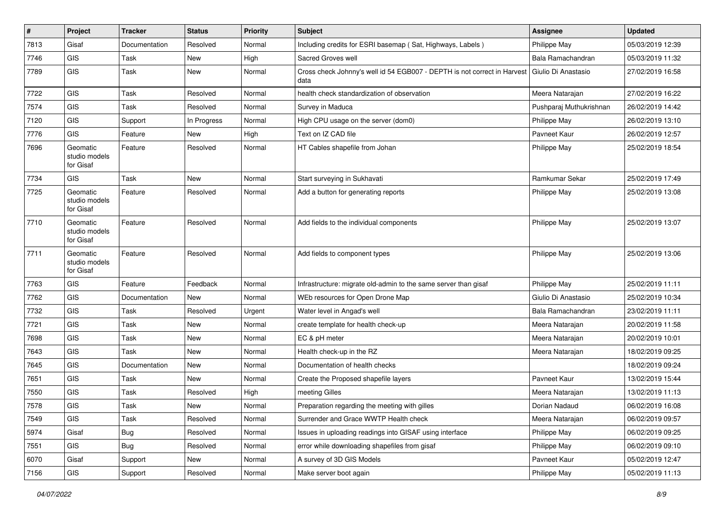| $\vert$ # | Project                                | <b>Tracker</b> | <b>Status</b> | <b>Priority</b> | Subject                                                                          | <b>Assignee</b>         | <b>Updated</b>   |
|-----------|----------------------------------------|----------------|---------------|-----------------|----------------------------------------------------------------------------------|-------------------------|------------------|
| 7813      | Gisaf                                  | Documentation  | Resolved      | Normal          | Including credits for ESRI basemap (Sat, Highways, Labels)                       | Philippe May            | 05/03/2019 12:39 |
| 7746      | GIS                                    | Task           | <b>New</b>    | High            | Sacred Groves well                                                               | Bala Ramachandran       | 05/03/2019 11:32 |
| 7789      | GIS                                    | Task           | <b>New</b>    | Normal          | Cross check Johnny's well id 54 EGB007 - DEPTH is not correct in Harvest<br>data | Giulio Di Anastasio     | 27/02/2019 16:58 |
| 7722      | GIS                                    | Task           | Resolved      | Normal          | health check standardization of observation                                      | Meera Natarajan         | 27/02/2019 16:22 |
| 7574      | GIS                                    | Task           | Resolved      | Normal          | Survey in Maduca                                                                 | Pushparaj Muthukrishnan | 26/02/2019 14:42 |
| 7120      | GIS                                    | Support        | In Progress   | Normal          | High CPU usage on the server (dom0)                                              | Philippe May            | 26/02/2019 13:10 |
| 7776      | <b>GIS</b>                             | Feature        | <b>New</b>    | High            | Text on IZ CAD file                                                              | Pavneet Kaur            | 26/02/2019 12:57 |
| 7696      | Geomatic<br>studio models<br>for Gisaf | Feature        | Resolved      | Normal          | HT Cables shapefile from Johan                                                   | Philippe May            | 25/02/2019 18:54 |
| 7734      | <b>GIS</b>                             | Task           | New           | Normal          | Start surveying in Sukhavati                                                     | Ramkumar Sekar          | 25/02/2019 17:49 |
| 7725      | Geomatic<br>studio models<br>for Gisaf | Feature        | Resolved      | Normal          | Add a button for generating reports                                              | Philippe May            | 25/02/2019 13:08 |
| 7710      | Geomatic<br>studio models<br>for Gisaf | Feature        | Resolved      | Normal          | Add fields to the individual components                                          | Philippe May            | 25/02/2019 13:07 |
| 7711      | Geomatic<br>studio models<br>for Gisaf | Feature        | Resolved      | Normal          | Add fields to component types                                                    | Philippe May            | 25/02/2019 13:06 |
| 7763      | GIS                                    | Feature        | Feedback      | Normal          | Infrastructure: migrate old-admin to the same server than gisaf                  | Philippe May            | 25/02/2019 11:11 |
| 7762      | <b>GIS</b>                             | Documentation  | New           | Normal          | WEb resources for Open Drone Map                                                 | Giulio Di Anastasio     | 25/02/2019 10:34 |
| 7732      | <b>GIS</b>                             | Task           | Resolved      | Urgent          | Water level in Angad's well                                                      | Bala Ramachandran       | 23/02/2019 11:11 |
| 7721      | <b>GIS</b>                             | Task           | New           | Normal          | create template for health check-up                                              | Meera Natarajan         | 20/02/2019 11:58 |
| 7698      | GIS                                    | Task           | New           | Normal          | EC & pH meter                                                                    | Meera Natarajan         | 20/02/2019 10:01 |
| 7643      | GIS                                    | Task           | <b>New</b>    | Normal          | Health check-up in the RZ                                                        | Meera Natarajan         | 18/02/2019 09:25 |
| 7645      | GIS                                    | Documentation  | New           | Normal          | Documentation of health checks                                                   |                         | 18/02/2019 09:24 |
| 7651      | GIS                                    | Task           | New           | Normal          | Create the Proposed shapefile layers                                             | Pavneet Kaur            | 13/02/2019 15:44 |
| 7550      | GIS                                    | Task           | Resolved      | High            | meeting Gilles                                                                   | Meera Natarajan         | 13/02/2019 11:13 |
| 7578      | GIS                                    | Task           | <b>New</b>    | Normal          | Preparation regarding the meeting with gilles                                    | Dorian Nadaud           | 06/02/2019 16:08 |
| 7549      | <b>GIS</b>                             | Task           | Resolved      | Normal          | Surrender and Grace WWTP Health check                                            | Meera Natarajan         | 06/02/2019 09:57 |
| 5974      | Gisaf                                  | <b>Bug</b>     | Resolved      | Normal          | Issues in uploading readings into GISAF using interface                          | Philippe May            | 06/02/2019 09:25 |
| 7551      | GIS                                    | <b>Bug</b>     | Resolved      | Normal          | error while downloading shapefiles from gisaf                                    | Philippe May            | 06/02/2019 09:10 |
| 6070      | Gisaf                                  | Support        | New           | Normal          | A survey of 3D GIS Models                                                        | Pavneet Kaur            | 05/02/2019 12:47 |
| 7156      | GIS                                    | Support        | Resolved      | Normal          | Make server boot again                                                           | Philippe May            | 05/02/2019 11:13 |